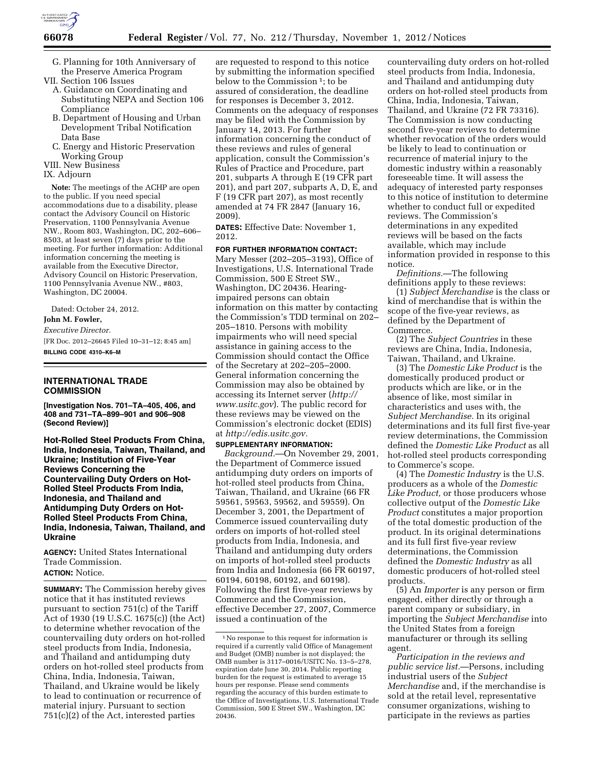

G. Planning for 10th Anniversary of the Preserve America Program

VII. Section 106 Issues

- A. Guidance on Coordinating and Substituting NEPA and Section 106 Compliance
- B. Department of Housing and Urban Development Tribal Notification Data Base
- C. Energy and Historic Preservation Working Group
- VIII. New Business
- IX. Adjourn

**Note:** The meetings of the ACHP are open to the public. If you need special accommodations due to a disability, please contact the Advisory Council on Historic Preservation, 1100 Pennsylvania Avenue NW., Room 803, Washington, DC, 202–606– 8503, at least seven (7) days prior to the meeting. For further information: Additional information concerning the meeting is available from the Executive Director, Advisory Council on Historic Preservation, 1100 Pennsylvania Avenue NW., #803, Washington, DC 20004.

Dated: October 24, 2012.

**John M. Fowler,** 

*Executive Director.*  [FR Doc. 2012–26645 Filed 10–31–12; 8:45 am]

**BILLING CODE 4310–K6–M** 

# **INTERNATIONAL TRADE COMMISSION**

**[Investigation Nos. 701–TA–405, 406, and 408 and 731–TA–899–901 and 906–908 (Second Review)]** 

**Hot-Rolled Steel Products From China, India, Indonesia, Taiwan, Thailand, and Ukraine; Institution of Five-Year Reviews Concerning the Countervailing Duty Orders on Hot-Rolled Steel Products From India, Indonesia, and Thailand and Antidumping Duty Orders on Hot-Rolled Steel Products From China, India, Indonesia, Taiwan, Thailand, and Ukraine** 

**AGENCY:** United States International Trade Commission. **ACTION:** Notice.

**SUMMARY:** The Commission hereby gives notice that it has instituted reviews pursuant to section 751(c) of the Tariff Act of 1930 (19 U.S.C. 1675(c)) (the Act) to determine whether revocation of the countervailing duty orders on hot-rolled steel products from India, Indonesia, and Thailand and antidumping duty orders on hot-rolled steel products from China, India, Indonesia, Taiwan, Thailand, and Ukraine would be likely to lead to continuation or recurrence of material injury. Pursuant to section 751(c)(2) of the Act, interested parties

are requested to respond to this notice by submitting the information specified below to the Commission 1; to be assured of consideration, the deadline for responses is December 3, 2012. Comments on the adequacy of responses may be filed with the Commission by January 14, 2013. For further information concerning the conduct of these reviews and rules of general application, consult the Commission's Rules of Practice and Procedure, part 201, subparts A through E (19 CFR part 201), and part 207, subparts A, D, E, and F (19 CFR part 207), as most recently amended at 74 FR 2847 (January 16, 2009).

**DATES:** Effective Date: November 1, 2012.

**FOR FURTHER INFORMATION CONTACT:**  Mary Messer (202–205–3193), Office of Investigations, U.S. International Trade Commission, 500 E Street SW., Washington, DC 20436. Hearingimpaired persons can obtain information on this matter by contacting the Commission's TDD terminal on 202– 205–1810. Persons with mobility impairments who will need special assistance in gaining access to the Commission should contact the Office of the Secretary at 202–205–2000. General information concerning the Commission may also be obtained by accessing its Internet server (*[http://](http://www.usitc.gov)  [www.usitc.gov](http://www.usitc.gov)*). The public record for these reviews may be viewed on the Commission's electronic docket (EDIS) at *[http://edis.usitc.gov.](http://edis.usitc.gov)* 

# **SUPPLEMENTARY INFORMATION:**

*Background.*—On November 29, 2001, the Department of Commerce issued antidumping duty orders on imports of hot-rolled steel products from China, Taiwan, Thailand, and Ukraine (66 FR 59561, 59563, 59562, and 59559). On December 3, 2001, the Department of Commerce issued countervailing duty orders on imports of hot-rolled steel products from India, Indonesia, and Thailand and antidumping duty orders on imports of hot-rolled steel products from India and Indonesia (66 FR 60197, 60194, 60198, 60192, and 60198). Following the first five-year reviews by Commerce and the Commission, effective December 27, 2007, Commerce issued a continuation of the

countervailing duty orders on hot-rolled steel products from India, Indonesia, and Thailand and antidumping duty orders on hot-rolled steel products from China, India, Indonesia, Taiwan, Thailand, and Ukraine (72 FR 73316). The Commission is now conducting second five-year reviews to determine whether revocation of the orders would be likely to lead to continuation or recurrence of material injury to the domestic industry within a reasonably foreseeable time. It will assess the adequacy of interested party responses to this notice of institution to determine whether to conduct full or expedited reviews. The Commission's determinations in any expedited reviews will be based on the facts available, which may include information provided in response to this notice.

*Definitions.*—The following definitions apply to these reviews:

(1) *Subject Merchandise* is the class or kind of merchandise that is within the scope of the five-year reviews, as defined by the Department of Commerce.

(2) The *Subject Countries* in these reviews are China, India, Indonesia, Taiwan, Thailand, and Ukraine.

(3) The *Domestic Like Product* is the domestically produced product or products which are like, or in the absence of like, most similar in characteristics and uses with, the *Subject Merchandise.* In its original determinations and its full first five-year review determinations, the Commission defined the *Domestic Like Product* as all hot-rolled steel products corresponding to Commerce's scope.

(4) The *Domestic Industry* is the U.S. producers as a whole of the *Domestic Like Product,* or those producers whose collective output of the *Domestic Like Product* constitutes a major proportion of the total domestic production of the product. In its original determinations and its full first five-year review determinations, the Commission defined the *Domestic Industry* as all domestic producers of hot-rolled steel products.

(5) An *Importer* is any person or firm engaged, either directly or through a parent company or subsidiary, in importing the *Subject Merchandise* into the United States from a foreign manufacturer or through its selling agent.

*Participation in the reviews and public service list.*—Persons, including industrial users of the *Subject Merchandise* and, if the merchandise is sold at the retail level, representative consumer organizations, wishing to participate in the reviews as parties

<sup>1</sup>No response to this request for information is required if a currently valid Office of Management and Budget (OMB) number is not displayed; the OMB number is 3117–0016/USITC No. 13–5–278, expiration date June 30, 2014. Public reporting burden for the request is estimated to average 15 hours per response. Please send comments regarding the accuracy of this burden estimate to the Office of Investigations, U.S. International Trade Commission, 500 E Street SW., Washington, DC 20436.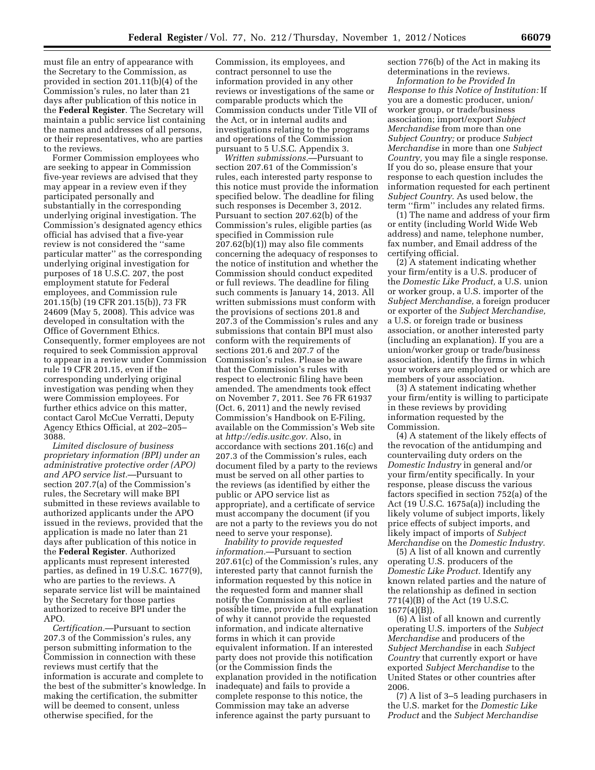must file an entry of appearance with the Secretary to the Commission, as provided in section 201.11(b)(4) of the Commission's rules, no later than 21 days after publication of this notice in the **Federal Register**. The Secretary will maintain a public service list containing the names and addresses of all persons, or their representatives, who are parties to the reviews.

Former Commission employees who are seeking to appear in Commission five-year reviews are advised that they may appear in a review even if they participated personally and substantially in the corresponding underlying original investigation. The Commission's designated agency ethics official has advised that a five-year review is not considered the ''same particular matter'' as the corresponding underlying original investigation for purposes of 18 U.S.C. 207, the post employment statute for Federal employees, and Commission rule 201.15(b) (19 CFR 201.15(b)), 73 FR 24609 (May 5, 2008). This advice was developed in consultation with the Office of Government Ethics. Consequently, former employees are not required to seek Commission approval to appear in a review under Commission rule 19 CFR 201.15, even if the corresponding underlying original investigation was pending when they were Commission employees. For further ethics advice on this matter, contact Carol McCue Verratti, Deputy Agency Ethics Official, at 202–205– 3088.

*Limited disclosure of business proprietary information (BPI) under an administrative protective order (APO) and APO service list.*—Pursuant to section 207.7(a) of the Commission's rules, the Secretary will make BPI submitted in these reviews available to authorized applicants under the APO issued in the reviews, provided that the application is made no later than 21 days after publication of this notice in the **Federal Register**. Authorized applicants must represent interested parties, as defined in 19 U.S.C. 1677(9), who are parties to the reviews. A separate service list will be maintained by the Secretary for those parties authorized to receive BPI under the APO.

*Certification.*—Pursuant to section 207.3 of the Commission's rules, any person submitting information to the Commission in connection with these reviews must certify that the information is accurate and complete to the best of the submitter's knowledge. In making the certification, the submitter will be deemed to consent, unless otherwise specified, for the

Commission, its employees, and contract personnel to use the information provided in any other reviews or investigations of the same or comparable products which the Commission conducts under Title VII of the Act, or in internal audits and investigations relating to the programs and operations of the Commission pursuant to 5 U.S.C. Appendix 3.

*Written submissions.*—Pursuant to section 207.61 of the Commission's rules, each interested party response to this notice must provide the information specified below. The deadline for filing such responses is December 3, 2012. Pursuant to section 207.62(b) of the Commission's rules, eligible parties (as specified in Commission rule 207.62(b)(1)) may also file comments concerning the adequacy of responses to the notice of institution and whether the Commission should conduct expedited or full reviews. The deadline for filing such comments is January 14, 2013. All written submissions must conform with the provisions of sections 201.8 and 207.3 of the Commission's rules and any submissions that contain BPI must also conform with the requirements of sections 201.6 and 207.7 of the Commission's rules. Please be aware that the Commission's rules with respect to electronic filing have been amended. The amendments took effect on November 7, 2011. See 76 FR 61937 (Oct. 6, 2011) and the newly revised Commission's Handbook on E-Filing, available on the Commission's Web site at *[http://edis.usitc.gov.](http://edis.usitc.gov)* Also, in accordance with sections 201.16(c) and 207.3 of the Commission's rules, each document filed by a party to the reviews must be served on all other parties to the reviews (as identified by either the public or APO service list as appropriate), and a certificate of service must accompany the document (if you are not a party to the reviews you do not need to serve your response).

*Inability to provide requested information.*—Pursuant to section 207.61(c) of the Commission's rules, any interested party that cannot furnish the information requested by this notice in the requested form and manner shall notify the Commission at the earliest possible time, provide a full explanation of why it cannot provide the requested information, and indicate alternative forms in which it can provide equivalent information. If an interested party does not provide this notification (or the Commission finds the explanation provided in the notification inadequate) and fails to provide a complete response to this notice, the Commission may take an adverse inference against the party pursuant to

section 776(b) of the Act in making its determinations in the reviews.

*Information to be Provided In Response to this Notice of Institution:* If you are a domestic producer, union/ worker group, or trade/business association; import/export *Subject Merchandise* from more than one *Subject Country;* or produce *Subject Merchandise* in more than one *Subject Country,* you may file a single response. If you do so, please ensure that your response to each question includes the information requested for each pertinent *Subject Country.* As used below, the term "firm" includes any related firms.

(1) The name and address of your firm or entity (including World Wide Web address) and name, telephone number, fax number, and Email address of the certifying official.

(2) A statement indicating whether your firm/entity is a U.S. producer of the *Domestic Like Product,* a U.S. union or worker group, a U.S. importer of the *Subject Merchandise,* a foreign producer or exporter of the *Subject Merchandise,*  a U.S. or foreign trade or business association, or another interested party (including an explanation). If you are a union/worker group or trade/business association, identify the firms in which your workers are employed or which are members of your association.

(3) A statement indicating whether your firm/entity is willing to participate in these reviews by providing information requested by the Commission.

(4) A statement of the likely effects of the revocation of the antidumping and countervailing duty orders on the *Domestic Industry* in general and/or your firm/entity specifically. In your response, please discuss the various factors specified in section 752(a) of the Act (19 U.S.C. 1675a(a)) including the likely volume of subject imports, likely price effects of subject imports, and likely impact of imports of *Subject Merchandise* on the *Domestic Industry.* 

(5) A list of all known and currently operating U.S. producers of the *Domestic Like Product.* Identify any known related parties and the nature of the relationship as defined in section 771(4)(B) of the Act (19 U.S.C. 1677(4)(B)).

(6) A list of all known and currently operating U.S. importers of the *Subject Merchandise* and producers of the *Subject Merchandise* in each *Subject Country* that currently export or have exported *Subject Merchandise* to the United States or other countries after 2006.

(7) A list of 3–5 leading purchasers in the U.S. market for the *Domestic Like Product* and the *Subject Merchandise*